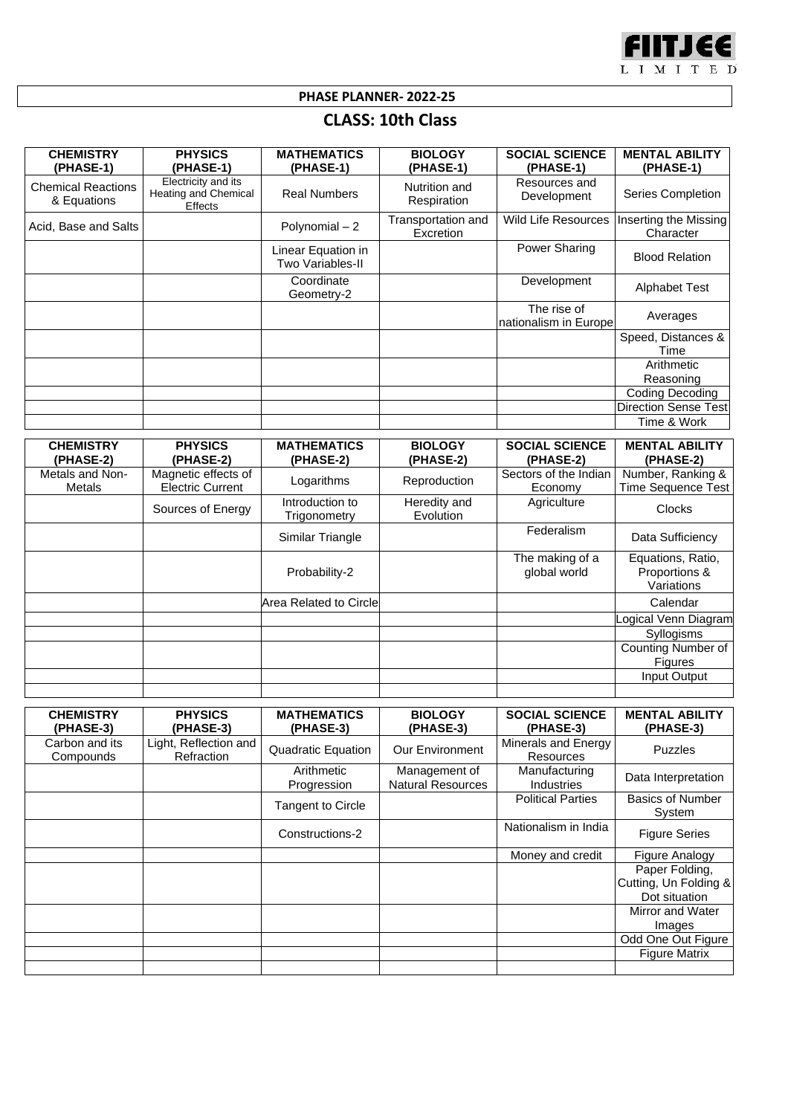

**PHASE PLANNER- 2022-25**

## **CLASS: 10th Class**

| <b>CHEMISTRY</b><br>(PHASE-1)            | <b>PHYSICS</b><br>(PHASE-1)                                   | <b>MATHEMATICS</b><br>(PHASE-1)        | <b>BIOLOGY</b><br>(PHASE-1)            | <b>SOCIAL SCIENCE</b><br>(PHASE-1)     | <b>MENTAL ABILITY</b><br>(PHASE-1)             |
|------------------------------------------|---------------------------------------------------------------|----------------------------------------|----------------------------------------|----------------------------------------|------------------------------------------------|
| <b>Chemical Reactions</b><br>& Equations | Electricity and its<br><b>Heating and Chemical</b><br>Effects | <b>Real Numbers</b>                    | Nutrition and<br>Respiration           | Resources and<br>Development           | Series Completion                              |
| Acid, Base and Salts                     |                                                               | Polynomial - 2                         | Transportation and<br><b>Excretion</b> | <b>Wild Life Resources</b>             | Inserting the Missing<br>Character             |
|                                          |                                                               | Linear Equation in<br>Two Variables-II |                                        | Power Sharing                          | <b>Blood Relation</b>                          |
|                                          |                                                               | Coordinate<br>Geometry-2               |                                        | Development                            | <b>Alphabet Test</b>                           |
|                                          |                                                               |                                        |                                        | The rise of<br>Inationalism in Europel | Averages                                       |
|                                          |                                                               |                                        |                                        |                                        | Speed, Distances &<br>Time                     |
|                                          |                                                               |                                        |                                        |                                        | Arithmetic<br>Reasoning                        |
|                                          |                                                               |                                        |                                        |                                        | Coding Decoding<br><b>Direction Sense Test</b> |
|                                          |                                                               |                                        |                                        |                                        | Time & Work                                    |

| <b>CHEMISTRY</b><br>(PHASE-2)    | <b>PHYSICS</b><br>(PHASE-2)                    | <b>MATHEMATICS</b><br>(PHASE-2) | <b>BIOLOGY</b><br>(PHASE-2) | <b>SOCIAL SCIENCE</b><br>(PHASE-2) | <b>MENTAL ABILITY</b><br>(PHASE-2)               |
|----------------------------------|------------------------------------------------|---------------------------------|-----------------------------|------------------------------------|--------------------------------------------------|
| Metals and Non-<br><b>Metals</b> | Magnetic effects of<br><b>Electric Current</b> | Logarithms                      | Reproduction                | Sectors of the Indian<br>Economy   | Number, Ranking &<br><b>Time Sequence Test</b>   |
|                                  | Sources of Energy                              | Introduction to<br>Trigonometry | Heredity and<br>Evolution   | Agriculture                        | <b>Clocks</b>                                    |
|                                  |                                                | Similar Triangle                |                             | Federalism                         | Data Sufficiency                                 |
|                                  |                                                | Probability-2                   |                             | The making of a<br>global world    | Equations, Ratio,<br>Proportions &<br>Variations |
|                                  |                                                | Area Related to Circle          |                             |                                    | Calendar                                         |
|                                  |                                                |                                 |                             |                                    | Logical Venn Diagram                             |
|                                  |                                                |                                 |                             |                                    | Syllogisms                                       |
|                                  |                                                |                                 |                             |                                    | Counting Number of<br><b>Figures</b>             |
|                                  |                                                |                                 |                             |                                    | Input Output                                     |
|                                  |                                                |                                 |                             |                                    |                                                  |

| <b>CHEMISTRY</b><br>(PHASE-3) | <b>PHYSICS</b><br>(PHASE-3)         | <b>MATHEMATICS</b><br>(PHASE-3) | <b>BIOLOGY</b><br>(PHASE-3)               | <b>SOCIAL SCIENCE</b><br>(PHASE-3)      | <b>MENTAL ABILITY</b><br>(PHASE-3)                       |
|-------------------------------|-------------------------------------|---------------------------------|-------------------------------------------|-----------------------------------------|----------------------------------------------------------|
| Carbon and its<br>Compounds   | Light, Reflection and<br>Refraction | <b>Quadratic Equation</b>       | <b>Our Environment</b>                    | Minerals and Energy<br><b>Resources</b> | <b>Puzzles</b>                                           |
|                               |                                     | Arithmetic<br>Progression       | Management of<br><b>Natural Resources</b> | Manufacturing<br><b>Industries</b>      | Data Interpretation                                      |
|                               |                                     | Tangent to Circle               |                                           | <b>Political Parties</b>                | <b>Basics of Number</b><br>System                        |
|                               |                                     | Constructions-2                 |                                           | Nationalism in India                    | <b>Figure Series</b>                                     |
|                               |                                     |                                 |                                           | Money and credit                        | Figure Analogy                                           |
|                               |                                     |                                 |                                           |                                         | Paper Folding,<br>Cutting, Un Folding &<br>Dot situation |
|                               |                                     |                                 |                                           |                                         | Mirror and Water                                         |
|                               |                                     |                                 |                                           |                                         | Images                                                   |
|                               |                                     |                                 |                                           |                                         | Odd One Out Figure                                       |
|                               |                                     |                                 |                                           |                                         | <b>Figure Matrix</b>                                     |
|                               |                                     |                                 |                                           |                                         |                                                          |